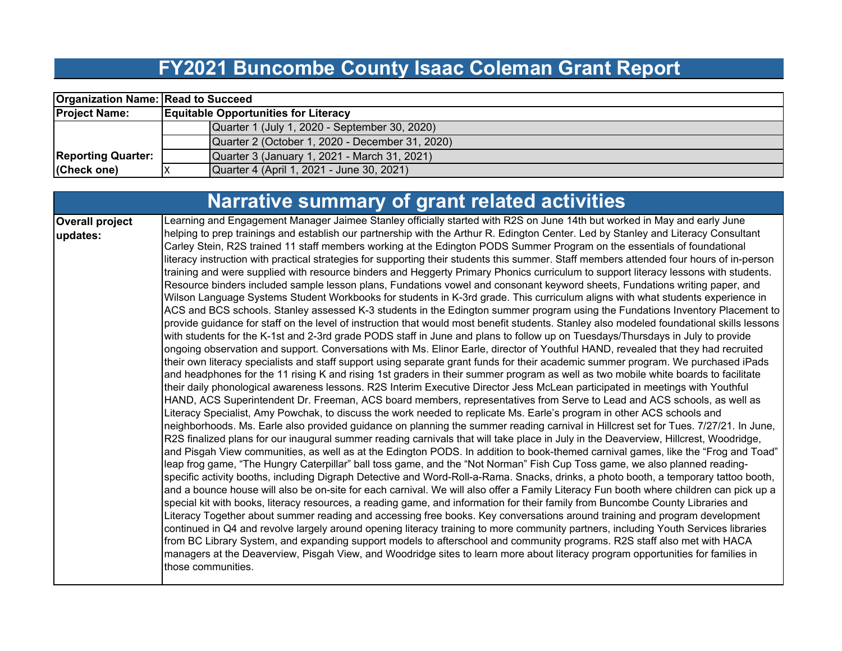## **FY2021 Buncombe County Isaac Coleman Grant Report**

| <b>Organization Name: Read to Succeed</b> |                                                 |  |  |  |  |  |  |
|-------------------------------------------|-------------------------------------------------|--|--|--|--|--|--|
| <b>Project Name:</b>                      | <b>Equitable Opportunities for Literacy</b>     |  |  |  |  |  |  |
|                                           | Quarter 1 (July 1, 2020 - September 30, 2020)   |  |  |  |  |  |  |
|                                           | Quarter 2 (October 1, 2020 - December 31, 2020) |  |  |  |  |  |  |
| <b>Reporting Quarter:</b>                 | Quarter 3 (January 1, 2021 - March 31, 2021)    |  |  |  |  |  |  |
| (Check one)                               | Quarter 4 (April 1, 2021 - June 30, 2021)       |  |  |  |  |  |  |

|                                    | <b>Narrative summary of grant related activities</b>                                                                                                                                                                                                                                                                                                                                                                                                                                                                                                                                                                                                                                                                                                                                                                                                                                                                                                                                                                                                                                                                                                                                                                                                                                                                                                                                                                                                                                                                                                                                                                                                                                                                                                                                                                                                                                                                                                                                                                                                                                                                                                                                                                                                                                                                                                                                                                                                                                                                                                                                                                                                                                                                                                                                                                                                                                                                                                                                                                                                                                                                                                                                                                                                                                                                                                                                                                                                                                                                                                                                                                                                                                                     |
|------------------------------------|----------------------------------------------------------------------------------------------------------------------------------------------------------------------------------------------------------------------------------------------------------------------------------------------------------------------------------------------------------------------------------------------------------------------------------------------------------------------------------------------------------------------------------------------------------------------------------------------------------------------------------------------------------------------------------------------------------------------------------------------------------------------------------------------------------------------------------------------------------------------------------------------------------------------------------------------------------------------------------------------------------------------------------------------------------------------------------------------------------------------------------------------------------------------------------------------------------------------------------------------------------------------------------------------------------------------------------------------------------------------------------------------------------------------------------------------------------------------------------------------------------------------------------------------------------------------------------------------------------------------------------------------------------------------------------------------------------------------------------------------------------------------------------------------------------------------------------------------------------------------------------------------------------------------------------------------------------------------------------------------------------------------------------------------------------------------------------------------------------------------------------------------------------------------------------------------------------------------------------------------------------------------------------------------------------------------------------------------------------------------------------------------------------------------------------------------------------------------------------------------------------------------------------------------------------------------------------------------------------------------------------------------------------------------------------------------------------------------------------------------------------------------------------------------------------------------------------------------------------------------------------------------------------------------------------------------------------------------------------------------------------------------------------------------------------------------------------------------------------------------------------------------------------------------------------------------------------------------------------------------------------------------------------------------------------------------------------------------------------------------------------------------------------------------------------------------------------------------------------------------------------------------------------------------------------------------------------------------------------------------------------------------------------------------------------------------------------|
| <b>Overall project</b><br>updates: | Learning and Engagement Manager Jaimee Stanley officially started with R2S on June 14th but worked in May and early June<br>helping to prep trainings and establish our partnership with the Arthur R. Edington Center. Led by Stanley and Literacy Consultant<br>Carley Stein, R2S trained 11 staff members working at the Edington PODS Summer Program on the essentials of foundational<br>literacy instruction with practical strategies for supporting their students this summer. Staff members attended four hours of in-person<br>training and were supplied with resource binders and Heggerty Primary Phonics curriculum to support literacy lessons with students.<br>Resource binders included sample lesson plans, Fundations vowel and consonant keyword sheets, Fundations writing paper, and<br>Wilson Language Systems Student Workbooks for students in K-3rd grade. This curriculum aligns with what students experience in<br>ACS and BCS schools. Stanley assessed K-3 students in the Edington summer program using the Fundations Inventory Placement to<br>provide guidance for staff on the level of instruction that would most benefit students. Stanley also modeled foundational skills lessons<br>with students for the K-1st and 2-3rd grade PODS staff in June and plans to follow up on Tuesdays/Thursdays in July to provide<br>ongoing observation and support. Conversations with Ms. Elinor Earle, director of Youthful HAND, revealed that they had recruited<br>their own literacy specialists and staff support using separate grant funds for their academic summer program. We purchased iPads<br>and headphones for the 11 rising K and rising 1st graders in their summer program as well as two mobile white boards to facilitate<br>their daily phonological awareness lessons. R2S Interim Executive Director Jess McLean participated in meetings with Youthful<br>HAND, ACS Superintendent Dr. Freeman, ACS board members, representatives from Serve to Lead and ACS schools, as well as<br>Literacy Specialist, Amy Powchak, to discuss the work needed to replicate Ms. Earle's program in other ACS schools and<br>neighborhoods. Ms. Earle also provided guidance on planning the summer reading carnival in Hillcrest set for Tues. 7/27/21. In June,<br>R2S finalized plans for our inaugural summer reading carnivals that will take place in July in the Deaverview, Hillcrest, Woodridge,<br>and Pisgah View communities, as well as at the Edington PODS. In addition to book-themed carnival games, like the "Frog and Toad"<br>leap frog game, "The Hungry Caterpillar" ball toss game, and the "Not Norman" Fish Cup Toss game, we also planned reading-<br>specific activity booths, including Digraph Detective and Word-Roll-a-Rama. Snacks, drinks, a photo booth, a temporary tattoo booth,<br> and a bounce house will also be on-site for each carnival. We will also offer a Family Literacy Fun booth where children can pick up a<br>special kit with books, literacy resources, a reading game, and information for their family from Buncombe County Libraries and<br>Literacy Together about summer reading and accessing free books. Key conversations around training and program development<br>continued in Q4 and revolve largely around opening literacy training to more community partners, including Youth Services libraries<br>from BC Library System, and expanding support models to afterschool and community programs. R2S staff also met with HACA<br>managers at the Deaverview, Pisgah View, and Woodridge sites to learn more about literacy program opportunities for families in<br>Ithose communities. |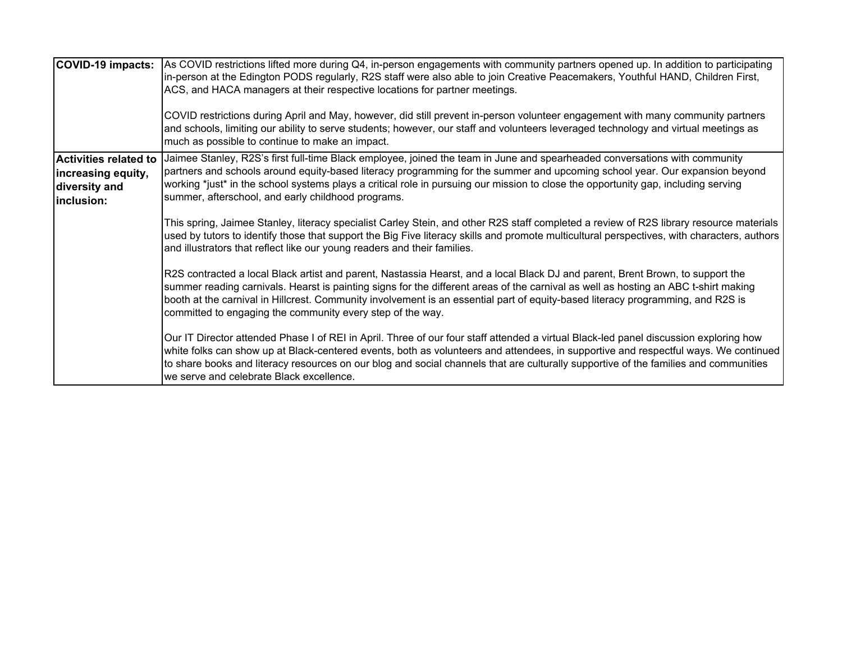| COVID-19 impacts:                                                                 | As COVID restrictions lifted more during Q4, in-person engagements with community partners opened up. In addition to participating<br>In-person at the Edington PODS regularly, R2S staff were also able to join Creative Peacemakers, Youthful HAND, Children First,<br>ACS, and HACA managers at their respective locations for partner meetings.<br>COVID restrictions during April and May, however, did still prevent in-person volunteer engagement with many community partners<br>and schools, limiting our ability to serve students; however, our staff and volunteers leveraged technology and virtual meetings as<br>much as possible to continue to make an impact.                                                                                                                                                                                                                                                           |
|-----------------------------------------------------------------------------------|--------------------------------------------------------------------------------------------------------------------------------------------------------------------------------------------------------------------------------------------------------------------------------------------------------------------------------------------------------------------------------------------------------------------------------------------------------------------------------------------------------------------------------------------------------------------------------------------------------------------------------------------------------------------------------------------------------------------------------------------------------------------------------------------------------------------------------------------------------------------------------------------------------------------------------------------|
| <b>Activities related to</b><br>increasing equity,<br>diversity and<br>inclusion: | Jaimee Stanley, R2S's first full-time Black employee, joined the team in June and spearheaded conversations with community<br>partners and schools around equity-based literacy programming for the summer and upcoming school year. Our expansion beyond<br>working *just* in the school systems plays a critical role in pursuing our mission to close the opportunity gap, including serving<br>summer, afterschool, and early childhood programs.<br>This spring, Jaimee Stanley, literacy specialist Carley Stein, and other R2S staff completed a review of R2S library resource materials<br>used by tutors to identify those that support the Big Five literacy skills and promote multicultural perspectives, with characters, authors<br>and illustrators that reflect like our young readers and their families.                                                                                                                |
|                                                                                   | R2S contracted a local Black artist and parent, Nastassia Hearst, and a local Black DJ and parent, Brent Brown, to support the<br>summer reading carnivals. Hearst is painting signs for the different areas of the carnival as well as hosting an ABC t-shirt making<br>booth at the carnival in Hillcrest. Community involvement is an essential part of equity-based literacy programming, and R2S is<br>committed to engaging the community every step of the way.<br>Our IT Director attended Phase I of REI in April. Three of our four staff attended a virtual Black-led panel discussion exploring how<br>white folks can show up at Black-centered events, both as volunteers and attendees, in supportive and respectful ways. We continued<br>to share books and literacy resources on our blog and social channels that are culturally supportive of the families and communities<br>we serve and celebrate Black excellence. |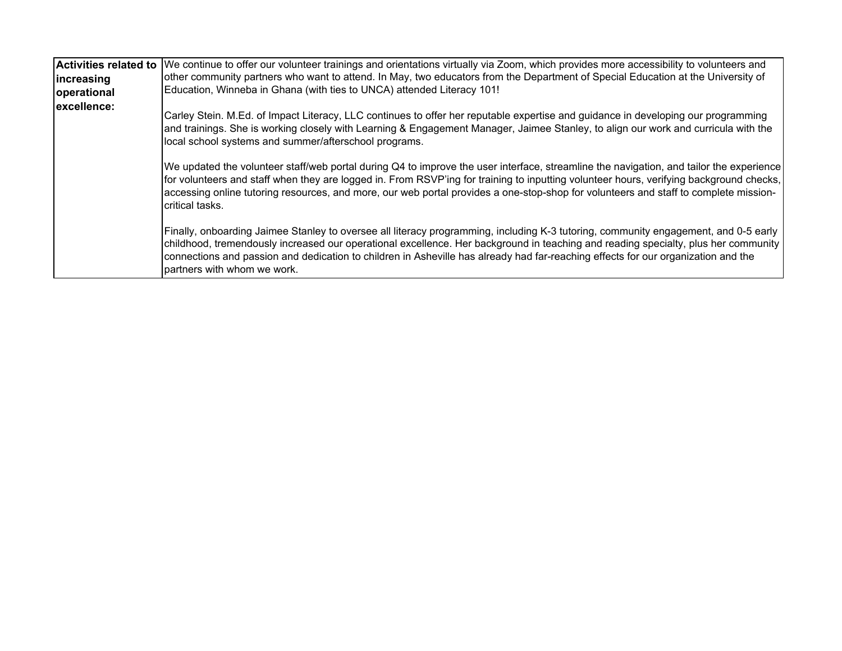|             | Activities related to We continue to offer our volunteer trainings and orientations virtually via Zoom, which provides more accessibility to volunteers and                                                                                                                                                                                                                                                                                   |
|-------------|-----------------------------------------------------------------------------------------------------------------------------------------------------------------------------------------------------------------------------------------------------------------------------------------------------------------------------------------------------------------------------------------------------------------------------------------------|
| lincreasing | other community partners who want to attend. In May, two educators from the Department of Special Education at the University of                                                                                                                                                                                                                                                                                                              |
| operational | Education, Winneba in Ghana (with ties to UNCA) attended Literacy 101!                                                                                                                                                                                                                                                                                                                                                                        |
| excellence: | Carley Stein. M.Ed. of Impact Literacy, LLC continues to offer her reputable expertise and guidance in developing our programming<br>and trainings. She is working closely with Learning & Engagement Manager, Jaimee Stanley, to align our work and curricula with the<br>local school systems and summer/afterschool programs.                                                                                                              |
|             | We updated the volunteer staff/web portal during Q4 to improve the user interface, streamline the navigation, and tailor the experience<br>for volunteers and staff when they are logged in. From RSVP'ing for training to inputting volunteer hours, verifying background checks,<br>accessing online tutoring resources, and more, our web portal provides a one-stop-shop for volunteers and staff to complete mission-<br>critical tasks. |
|             | Finally, onboarding Jaimee Stanley to oversee all literacy programming, including K-3 tutoring, community engagement, and 0-5 early<br>childhood, tremendously increased our operational excellence. Her background in teaching and reading specialty, plus her community<br>connections and passion and dedication to children in Asheville has already had far-reaching effects for our organization and the<br>partners with whom we work. |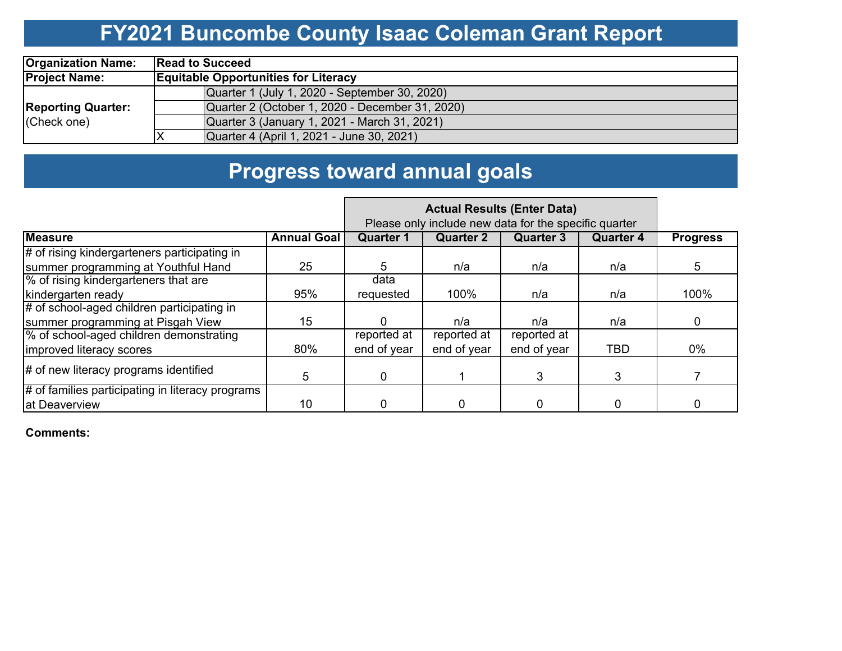# **FY2021 Buncombe County Isaac Coleman Grant Report**

| <b>Organization Name:</b> | <b>Read to Succeed</b>                          |  |  |  |  |  |  |
|---------------------------|-------------------------------------------------|--|--|--|--|--|--|
| <b>Project Name:</b>      | <b>Equitable Opportunities for Literacy</b>     |  |  |  |  |  |  |
|                           | Quarter 1 (July 1, 2020 - September 30, 2020)   |  |  |  |  |  |  |
| <b>Reporting Quarter:</b> | Quarter 2 (October 1, 2020 - December 31, 2020) |  |  |  |  |  |  |
| (Check one)               | Quarter 3 (January 1, 2021 - March 31, 2021)    |  |  |  |  |  |  |
|                           | Quarter 4 (April 1, 2021 - June 30, 2021)       |  |  |  |  |  |  |

# **Progress toward annual goals**

|                                                  |                    | Please only include new data for the specific quarter |                  |                  |                  |                 |
|--------------------------------------------------|--------------------|-------------------------------------------------------|------------------|------------------|------------------|-----------------|
| <b>Measure</b>                                   | <b>Annual Goal</b> | <b>Quarter 1</b>                                      | <b>Quarter 2</b> | <b>Quarter 3</b> | <b>Quarter 4</b> | <b>Progress</b> |
| # of rising kindergarteners participating in     |                    |                                                       |                  |                  |                  |                 |
| summer programming at Youthful Hand              | 25                 | 5.                                                    | n/a              | n/a              | n/a              | 5               |
| % of rising kindergarteners that are             |                    | data                                                  |                  |                  |                  |                 |
| kindergarten ready                               | 95%                | requested                                             | 100%             | n/a              | n/a              | 100%            |
| # of school-aged children participating in       |                    |                                                       |                  |                  |                  |                 |
| summer programming at Pisgah View                | 15                 | 0                                                     | n/a              | n/a              | n/a              | 0               |
| % of school-aged children demonstrating          |                    | reported at                                           | reported at      | reported at      |                  |                 |
| improved literacy scores                         | 80%                | end of year                                           | end of year      | end of year      | <b>TBD</b>       | $0\%$           |
| # of new literacy programs identified            | 5.                 | $\mathbf 0$                                           |                  | 3                | 3                |                 |
| # of families participating in literacy programs |                    |                                                       |                  |                  |                  |                 |
| at Deaverview                                    | 10                 | 0                                                     |                  | 0                | 0                | 0               |

**Comments:**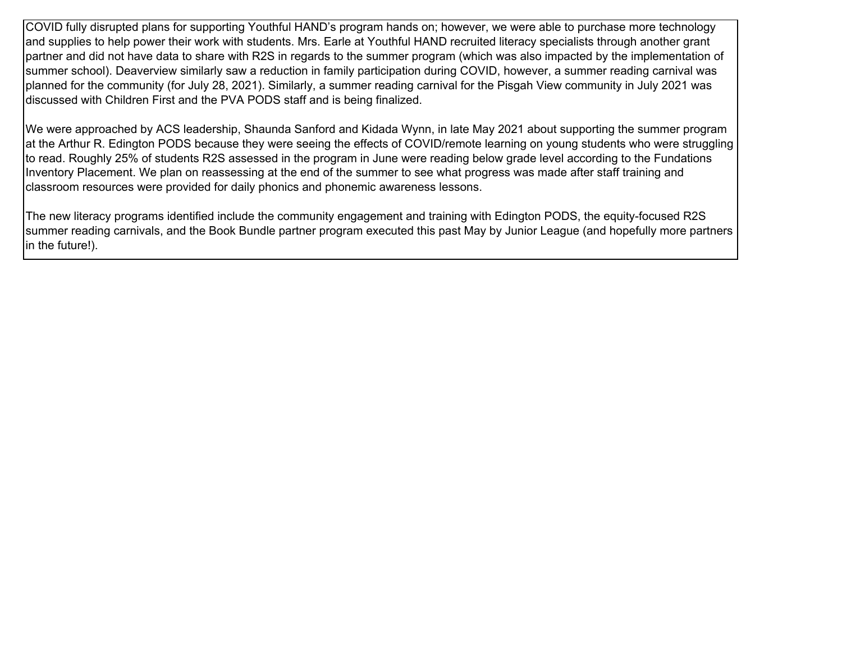COVID fully disrupted plans for supporting Youthful HAND's program hands on; however, we were able to purchase more technology and supplies to help power their work with students. Mrs. Earle at Youthful HAND recruited literacy specialists through another grant partner and did not have data to share with R2S in regards to the summer program (which was also impacted by the implementation of summer school). Deaverview similarly saw a reduction in family participation during COVID, however, a summer reading carnival was planned for the community (for July 28, 2021). Similarly, a summer reading carnival for the Pisgah View community in July 2021 was discussed with Children First and the PVA PODS staff and is being finalized.

We were approached by ACS leadership, Shaunda Sanford and Kidada Wynn, in late May 2021 about supporting the summer program at the Arthur R. Edington PODS because they were seeing the effects of COVID/remote learning on young students who were struggling to read. Roughly 25% of students R2S assessed in the program in June were reading below grade level according to the Fundations Inventory Placement. We plan on reassessing at the end of the summer to see what progress was made after staff training and classroom resources were provided for daily phonics and phonemic awareness lessons.

The new literacy programs identified include the community engagement and training with Edington PODS, the equity-focused R2S summer reading carnivals, and the Book Bundle partner program executed this past May by Junior League (and hopefully more partners in the future!).